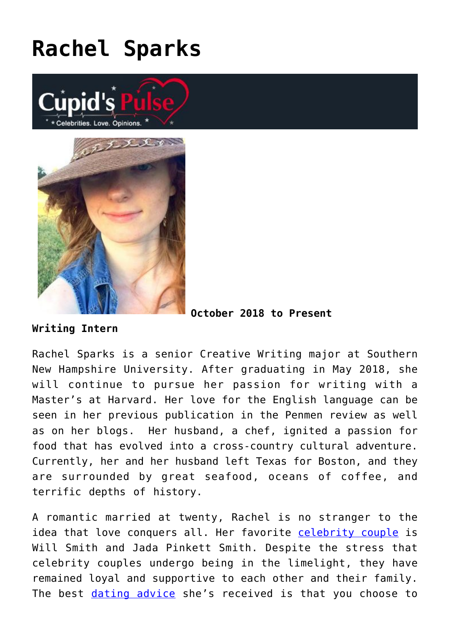## **[Rachel Sparks](https://cupidspulse.com/121112/rachel-sparks/)**





**October 2018 to Present**

**Writing Intern**

Rachel Sparks is a senior Creative Writing major at Southern New Hampshire University. After graduating in May 2018, she will continue to pursue her passion for writing with a Master's at Harvard. Her love for the English language can be seen in her previous publication in the Penmen review as well as on her blogs. Her husband, a chef, ignited a passion for food that has evolved into a cross-country cultural adventure. Currently, her and her husband left Texas for Boston, and they are surrounded by great seafood, oceans of coffee, and terrific depths of history.

A romantic married at twenty, Rachel is no stranger to the idea that love conquers all. Her favorite [celebrity couple](http://cupidspulse.com/celebrity-news/celebrity-dating/) is Will Smith and Jada Pinkett Smith. Despite the stress that celebrity couples undergo being in the limelight, they have remained loyal and supportive to each other and their family. The best [dating advice](http://cupidspulse.com/love/relationship-advice-articles/) she's received is that you choose to